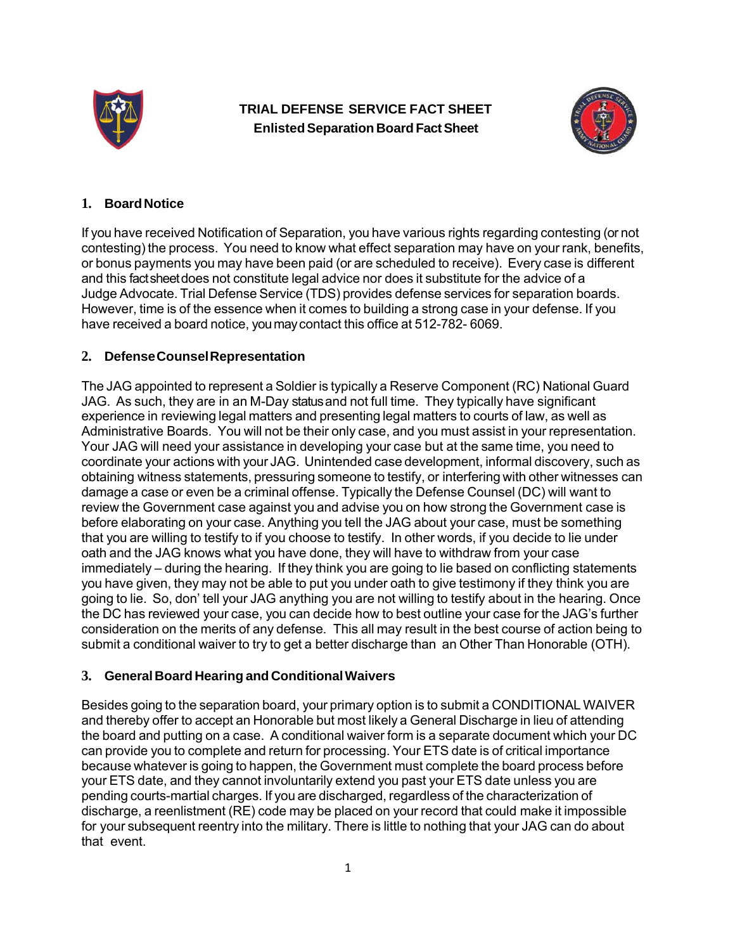

**TRIAL DEFENSE SERVICE FACT SHEET Enlisted Separation Board Fact Sheet**



#### **1. Board Notice**

If you have received Notification of Separation, you have various rights regarding contesting (or not contesting) the process. You need to know what effect separation may have on your rank, benefits, or bonus payments you may have been paid (or are scheduled to receive). Every case is different and this fact sheet does not constitute legal advice nor does it substitute for the advice of a Judge Advocate. Trial Defense Service (TDS) provides defense services for separation boards. However, time is of the essence when it comes to building a strong case in your defense. If you have received a board notice, you may contact this office at 512-782- 6069.

### **2. Defense Counsel Representation**

The JAG appointed to represent a Soldier is typically a Reserve Component (RC) National Guard JAG. As such, they are in an M-Day status and not full time. They typically have significant experience in reviewing legal matters and presenting legal matters to courts of law, as well as Administrative Boards. You will not be their only case, and you must assist in your representation. Your JAG will need your assistance in developing your case but at the same time, you need to coordinate your actions with your JAG. Unintended case development, informal discovery, such as obtaining witness statements, pressuring someone to testify, or interfering with other witnesses can damage a case or even be a criminal offense. Typically the Defense Counsel (DC) will want to review the Government case against you and advise you on how strong the Government case is before elaborating on your case. Anything you tell the JAG about your case, must be something that you are willing to testify to if you choose to testify. In other words, if you decide to lie under oath and the JAG knows what you have done, they will have to withdraw from your case immediately – during the hearing. If they think you are going to lie based on conflicting statements you have given, they may not be able to put you under oath to give testimony if they think you are going to lie. So, don' tell your JAG anything you are not willing to testify about in the hearing. Once the DC has reviewed your case, you can decide how to best outline your case for the JAG's further consideration on the merits of any defense. This all may result in the best course of action being to submit a conditional waiver to try to get a better discharge than an Other Than Honorable (OTH).

#### **3. General Board Hearing and Conditional Waivers**

Besides going to the separation board, your primary option is to submit a CONDITIONAL WAIVER and thereby offer to accept an Honorable but most likely a General Discharge in lieu of attending the board and putting on a case. A conditional waiver form is a separate document which your DC can provide you to complete and return for processing. Your ETS date is of critical importance because whatever is going to happen, the Government must complete the board process before your ETS date, and they cannot involuntarily extend you past your ETS date unless you are pending courts-martial charges. If you are discharged, regardless of the characterization of discharge, a reenlistment (RE) code may be placed on your record that could make it impossible for your subsequent reentry into the military. There is little to nothing that your JAG can do about that event.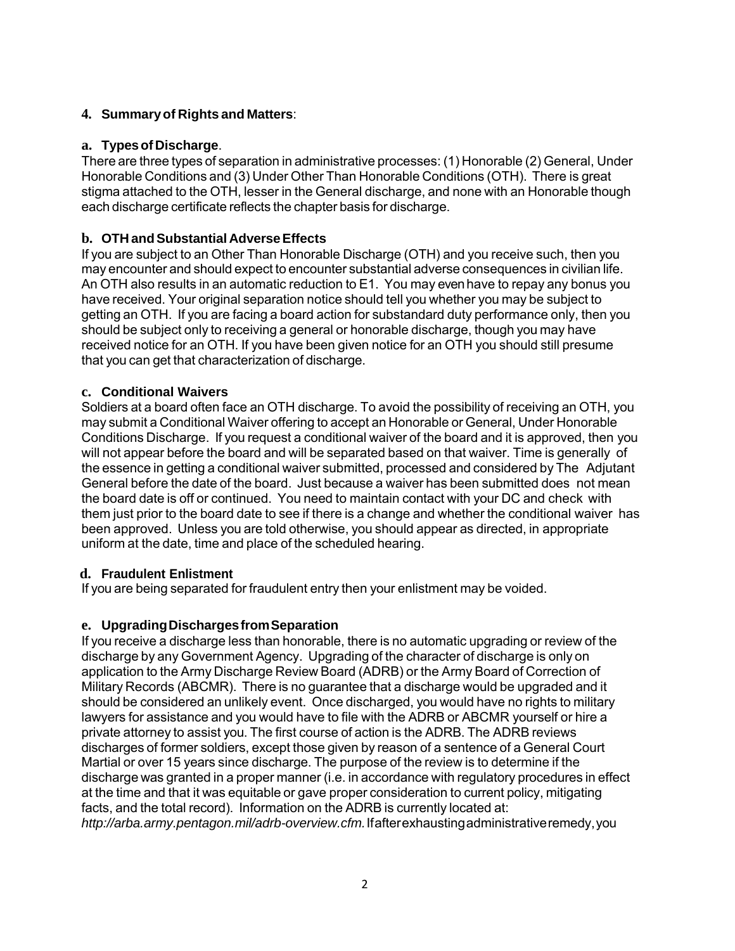# **4. Summary of Rights and Matters**:

## **a. Types of Discharge**.

There are three types of separation in administrative processes: (1) Honorable (2) General, Under Honorable Conditions and (3) Under Other Than Honorable Conditions (OTH). There is great stigma attached to the OTH, lesser in the General discharge, and none with an Honorable though each discharge certificate reflects the chapter basis for discharge.

# **b. OTH and Substantial Adverse Effects**

If you are subject to an Other Than Honorable Discharge (OTH) and you receive such, then you may encounter and should expect to encounter substantial adverse consequences in civilian life. An OTH also results in an automatic reduction to E1. You may even have to repay any bonus you have received. Your original separation notice should tell you whether you may be subject to getting an OTH. If you are facing a board action for substandard duty performance only, then you should be subject only to receiving a general or honorable discharge, though you may have received notice for an OTH. If you have been given notice for an OTH you should still presume that you can get that characterization of discharge.

### **c. Conditional Waivers**

Soldiers at a board often face an OTH discharge. To avoid the possibility of receiving an OTH, you may submit a Conditional Waiver offering to accept an Honorable or General, Under Honorable Conditions Discharge. If you request a conditional waiver of the board and it is approved, then you will not appear before the board and will be separated based on that waiver. Time is generally of the essence in getting a conditional waiver submitted, processed and considered by The Adjutant General before the date of the board. Just because a waiver has been submitted does not mean the board date is off or continued. You need to maintain contact with your DC and check with them just prior to the board date to see if there is a change and whether the conditional waiver has been approved. Unless you are told otherwise, you should appear as directed, in appropriate uniform at the date, time and place of the scheduled hearing.

#### **d. Fraudulent Enlistment**

If you are being separated for fraudulent entry then your enlistment may be voided.

#### **e. Upgrading Discharges from Separation**

If you receive a discharge less than honorable, there is no automatic upgrading or review of the discharge by any Government Agency. Upgrading of the character of discharge is only on application to the Army Discharge Review Board (ADRB) or the Army Board of Correction of Military Records (ABCMR). There is no guarantee that a discharge would be upgraded and it should be considered an unlikely event. Once discharged, you would have no rights to military lawyers for assistance and you would have to file with the ADRB or ABCMR yourself or hire a private attorney to assist you. The first course of action is the ADRB. The ADRB reviews discharges of former soldiers, except those given by reason of a sentence of a General Court Martial or over 15 years since discharge. The purpose of the review is to determine if the discharge was granted in a proper manner (i.e. in accordance with regulatory procedures in effect at the time and that it was equitable or gave proper consideration to current policy, mitigating facts, and the total record). Information on the ADRB is currently located at: *http://arba.army.pentagon.mil/adrb-overview.cfm.* If after exhausting administrative remedy, you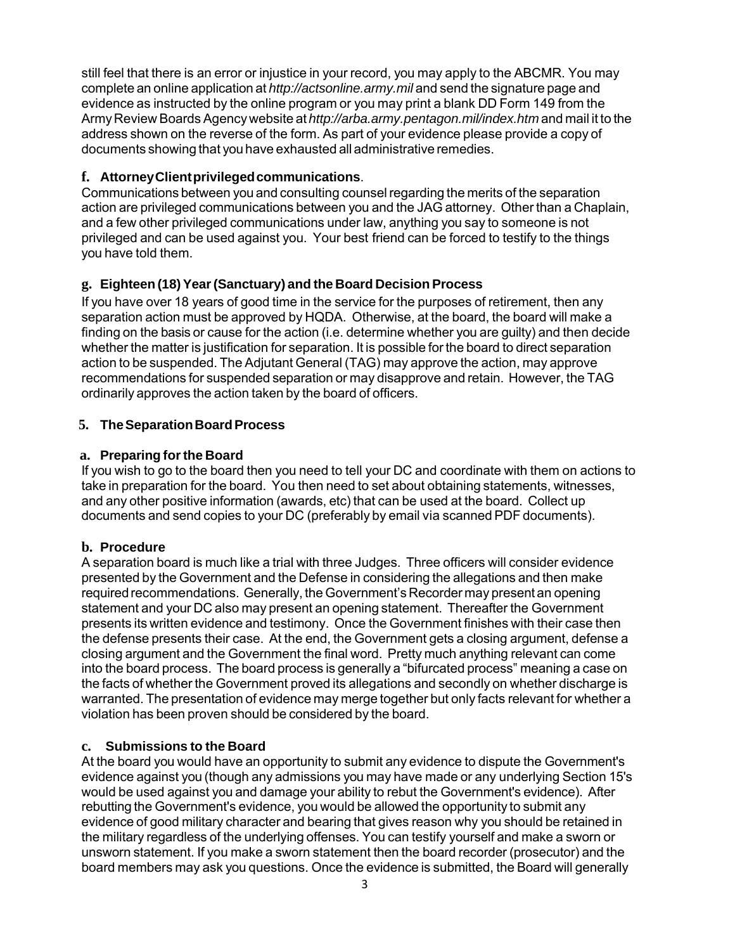still feel that there is an error or injustice in your record, you may apply to the ABCMR. You may complete an online application at *http://actsonline.army.mil* and send the signature page and evidence as instructed by the online program or you may print a blank DD Form 149 from the Army Review Boards Agency website at *http://arba.army.pentagon.mil/index.htm* and mail it to the address shown on the reverse of the form. As part of your evidence please provide a copy of documents showing that you have exhausted all administrative remedies.

## **f. Attorney Client privileged communications**.

Communications between you and consulting counsel regarding the merits of the separation action are privileged communications between you and the JAG attorney. Other than a Chaplain, and a few other privileged communications under law, anything you say to someone is not privileged and can be used against you. Your best friend can be forced to testify to the things you have told them.

# **g. Eighteen (18) Year (Sanctuary) and the Board Decision Process**

If you have over 18 years of good time in the service for the purposes of retirement, then any separation action must be approved by HQDA. Otherwise, at the board, the board will make a finding on the basis or cause for the action (i.e. determine whether you are guilty) and then decide whether the matter is justification for separation. It is possible for the board to direct separation action to be suspended. The Adjutant General (TAG) may approve the action, may approve recommendations for suspended separation or may disapprove and retain. However, the TAG ordinarily approves the action taken by the board of officers.

# **5. The Separation Board Process**

# **a. Preparing for the Board**

If you wish to go to the board then you need to tell your DC and coordinate with them on actions to take in preparation for the board. You then need to set about obtaining statements, witnesses, and any other positive information (awards, etc) that can be used at the board. Collect up documents and send copies to your DC (preferably by email via scanned PDF documents).

# **b. Procedure**

A separation board is much like a trial with three Judges. Three officers will consider evidence presented by the Government and the Defense in considering the allegations and then make required recommendations. Generally, the Government's Recorder may present an opening statement and your DC also may present an opening statement. Thereafter the Government presents its written evidence and testimony. Once the Government finishes with their case then the defense presents their case. At the end, the Government gets a closing argument, defense a closing argument and the Government the final word. Pretty much anything relevant can come into the board process. The board process is generally a "bifurcated process" meaning a case on the facts of whether the Government proved its allegations and secondly on whether discharge is warranted. The presentation of evidence may merge together but only facts relevant for whether a violation has been proven should be considered by the board.

# **c. Submissions to the Board**

At the board you would have an opportunity to submit any evidence to dispute the Government's evidence against you (though any admissions you may have made or any underlying Section 15's would be used against you and damage your ability to rebut the Government's evidence). After rebutting the Government's evidence, you would be allowed the opportunity to submit any evidence of good military character and bearing that gives reason why you should be retained in the military regardless of the underlying offenses. You can testify yourself and make a sworn or unsworn statement. If you make a sworn statement then the board recorder (prosecutor) and the board members may ask you questions. Once the evidence is submitted, the Board will generally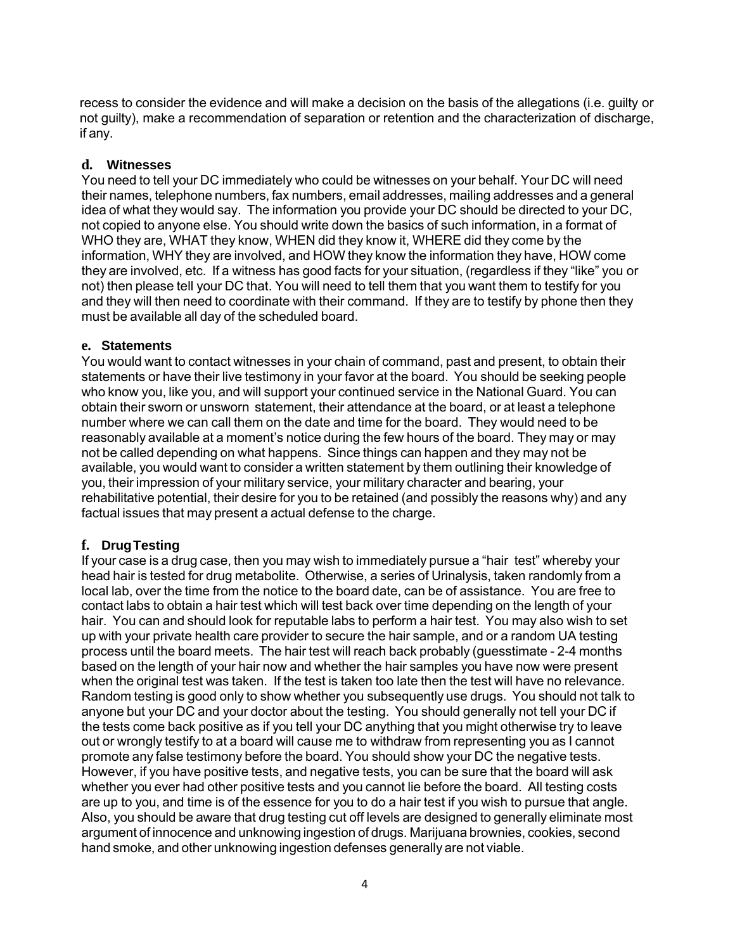recess to consider the evidence and will make a decision on the basis of the allegations (i.e. guilty or not guilty), make a recommendation of separation or retention and the characterization of discharge, if any.

#### **d. Witnesses**

You need to tell your DC immediately who could be witnesses on your behalf. Your DC will need their names, telephone numbers, fax numbers, email addresses, mailing addresses and a general idea of what they would say. The information you provide your DC should be directed to your DC, not copied to anyone else. You should write down the basics of such information, in a format of WHO they are, WHAT they know, WHEN did they know it, WHERE did they come by the information, WHY they are involved, and HOW they know the information they have, HOW come they are involved, etc. If a witness has good facts for your situation, (regardless if they "like" you or not) then please tell your DC that. You will need to tell them that you want them to testify for you and they will then need to coordinate with their command. If they are to testify by phone then they must be available all day of the scheduled board.

#### **e. Statements**

You would want to contact witnesses in your chain of command, past and present, to obtain their statements or have their live testimony in your favor at the board. You should be seeking people who know you, like you, and will support your continued service in the National Guard. You can obtain their sworn or unsworn statement, their attendance at the board, or at least a telephone number where we can call them on the date and time for the board. They would need to be reasonably available at a moment's notice during the few hours of the board. They may or may not be called depending on what happens. Since things can happen and they may not be available, you would want to consider a written statement by them outlining their knowledge of you, their impression of your military service, your military character and bearing, your rehabilitative potential, their desire for you to be retained (and possibly the reasons why) and any factual issues that may present a actual defense to the charge.

#### **f. Drug Testing**

If your case is a drug case, then you may wish to immediately pursue a "hair test" whereby your head hair is tested for drug metabolite. Otherwise, a series of Urinalysis, taken randomly from a local lab, over the time from the notice to the board date, can be of assistance. You are free to contact labs to obtain a hair test which will test back over time depending on the length of your hair. You can and should look for reputable labs to perform a hair test. You may also wish to set up with your private health care provider to secure the hair sample, and or a random UA testing process until the board meets. The hair test will reach back probably (guesstimate - 2-4 months based on the length of your hair now and whether the hair samples you have now were present when the original test was taken. If the test is taken too late then the test will have no relevance. Random testing is good only to show whether you subsequently use drugs. You should not talk to anyone but your DC and your doctor about the testing. You should generally not tell your DC if the tests come back positive as if you tell your DC anything that you might otherwise try to leave out or wrongly testify to at a board will cause me to withdraw from representing you as I cannot promote any false testimony before the board. You should show your DC the negative tests. However, if you have positive tests, and negative tests, you can be sure that the board will ask whether you ever had other positive tests and you cannot lie before the board. All testing costs are up to you, and time is of the essence for you to do a hair test if you wish to pursue that angle. Also, you should be aware that drug testing cut off levels are designed to generally eliminate most argument of innocence and unknowing ingestion of drugs. Marijuana brownies, cookies, second hand smoke, and other unknowing ingestion defenses generally are not viable.